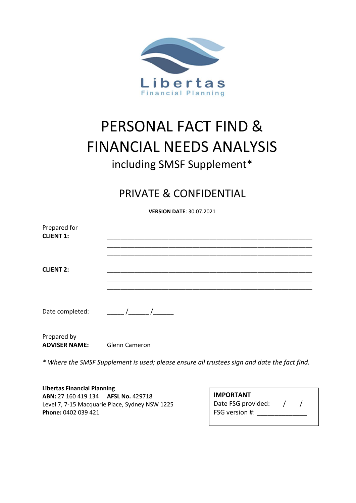

# PERSONAL FACT FIND & FINANCIAL NEEDS ANALYSIS including SMSF Supplement\*

## PRIVATE & CONFIDENTIAL

**VERSION DATE**: 30.07.2021

| Prepared for<br><b>CLIENT 1:</b> |                                                                                                                                                                                                                                                                                                                     |
|----------------------------------|---------------------------------------------------------------------------------------------------------------------------------------------------------------------------------------------------------------------------------------------------------------------------------------------------------------------|
|                                  |                                                                                                                                                                                                                                                                                                                     |
| <b>CLIENT 2:</b>                 |                                                                                                                                                                                                                                                                                                                     |
| Date completed:                  | $\frac{1}{2}$ $\frac{1}{2}$ $\frac{1}{2}$ $\frac{1}{2}$ $\frac{1}{2}$ $\frac{1}{2}$ $\frac{1}{2}$ $\frac{1}{2}$ $\frac{1}{2}$ $\frac{1}{2}$ $\frac{1}{2}$ $\frac{1}{2}$ $\frac{1}{2}$ $\frac{1}{2}$ $\frac{1}{2}$ $\frac{1}{2}$ $\frac{1}{2}$ $\frac{1}{2}$ $\frac{1}{2}$ $\frac{1}{2}$ $\frac{1}{2}$ $\frac{1}{2}$ |

Prepared by **ADVISER NAME:** Glenn Cameron

*\* Where the SMSF Supplement is used; please ensure all trustees sign and date the fact find.*

**Libertas Financial Planning ABN:** 27 160 419 134 **AFSL No.** 429718 Level 7, 7-15 Macquarie Place, Sydney NSW 1225 **Phone:** 0402 039 421

| <b>IMPORTANT</b>      |  |  |
|-----------------------|--|--|
| Date FSG provided:    |  |  |
| <b>FSG</b> version #: |  |  |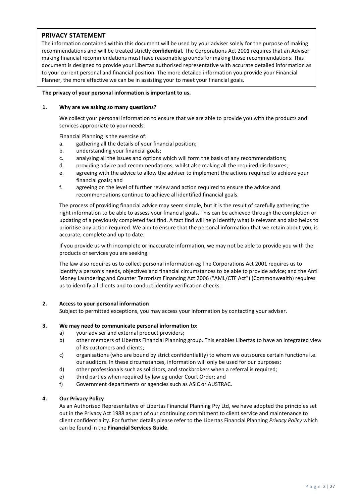### **PRIVACY STATEMENT**

The information contained within this document will be used by your adviser solely for the purpose of making recommendations and will be treated strictly **confidential.** The Corporations Act 2001 requires that an Adviser making financial recommendations must have reasonable grounds for making those recommendations. This document is designed to provide your Libertas authorised representative with accurate detailed information as to your current personal and financial position. The more detailed information you provide your Financial Planner, the more effective we can be in assisting your to meet your financial goals.

#### **The privacy of your personal information is important to us.**

#### **1. Why are we asking so many questions?**

We collect your personal information to ensure that we are able to provide you with the products and services appropriate to your needs.

Financial Planning is the exercise of:

- a. gathering all the details of your financial position;
- b. understanding your financial goals;
- c. analysing all the issues and options which will form the basis of any recommendations;
- d. providing advice and recommendations, whilst also making all the required disclosures;
- e. agreeing with the advice to allow the adviser to implement the actions required to achieve your financial goals; and
- f. agreeing on the level of further review and action required to ensure the advice and recommendations continue to achieve all identified financial goals.

The process of providing financial advice may seem simple, but it is the result of carefully gathering the right information to be able to assess your financial goals. This can be achieved through the completion or updating of a previously completed fact find. A fact find will help identify what is relevant and also helps to prioritise any action required. We aim to ensure that the personal information that we retain about you, is accurate, complete and up to date.

If you provide us with incomplete or inaccurate information, we may not be able to provide you with the products or services you are seeking.

The law also requires us to collect personal information eg The Corporations Act 2001 requires us to identify a person's needs, objectives and financial circumstances to be able to provide advice; and the Anti Money Laundering and Counter Terrorism Financing Act 2006 ("AML/CTF Act") (Commonwealth) requires us to identify all clients and to conduct identity verification checks.

#### **2. Access to your personal information**

Subject to permitted exceptions, you may access your information by contacting your adviser.

#### **3. We may need to communicate personal information to:**

- a) your adviser and external product providers;
- b) other members of Libertas Financial Planning group. This enables Libertas to have an integrated view of its customers and clients;
- c) organisations (who are bound by strict confidentiality) to whom we outsource certain functions i.e. our auditors. In these circumstances, information will only be used for our purposes;
- d) other professionals such as solicitors, and stockbrokers when a referral is required;
- e) third parties when required by law eg under Court Order; and
- f) Government departments or agencies such as ASIC or AUSTRAC.

#### **4. Our Privacy Policy**

As an Authorised Representative of Libertas Financial Planning Pty Ltd, we have adopted the principles set out in the Privacy Act 1988 as part of our continuing commitment to client service and maintenance to client confidentiality. For further details please refer to the Libertas Financial Planning *Privacy Policy* which can be found in the **Financial Services Guide**.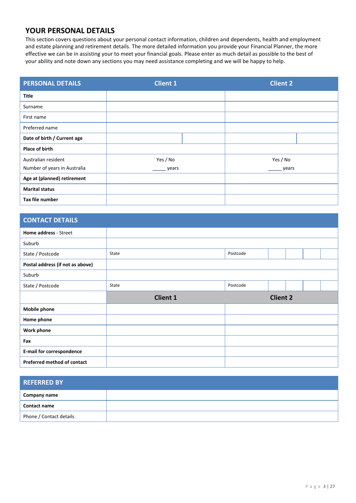## **YOUR PERSONAL DETAILS**

This section covers questions about your personal contact information, children and dependents, health and employment and estate planning and retirement details. The more detailed information you provide your Financial Planner, the more effective we can be in assisting your to meet your financial goals. Please enter as much detail as possible to the best of your ability and note down any sections you may need assistance completing and we will be happy to help.

| <b>PERSONAL DETAILS</b>      | <b>Client 1</b> |  | <b>Client 2</b> |  |
|------------------------------|-----------------|--|-----------------|--|
| Title                        |                 |  |                 |  |
| Surname                      |                 |  |                 |  |
| First name                   |                 |  |                 |  |
| Preferred name               |                 |  |                 |  |
| Date of birth / Current age  |                 |  |                 |  |
| <b>Place of birth</b>        |                 |  |                 |  |
| Australian resident          | Yes / No        |  | Yes / No        |  |
| Number of years in Australia | years           |  | years           |  |
| Age at (planned) retirement  |                 |  |                 |  |
| <b>Marital status</b>        |                 |  |                 |  |
| Tax file number              |                 |  |                 |  |

| <b>CONTACT DETAILS</b>           |                 |          |                 |  |  |
|----------------------------------|-----------------|----------|-----------------|--|--|
| Home address - Street            |                 |          |                 |  |  |
| Suburb                           |                 |          |                 |  |  |
| State / Postcode                 | State           | Postcode |                 |  |  |
| Postal address (if not as above) |                 |          |                 |  |  |
| Suburb                           |                 |          |                 |  |  |
| State / Postcode                 | State           | Postcode |                 |  |  |
|                                  |                 |          |                 |  |  |
|                                  | <b>Client 1</b> |          | <b>Client 2</b> |  |  |
| <b>Mobile phone</b>              |                 |          |                 |  |  |
| Home phone                       |                 |          |                 |  |  |
| <b>Work phone</b>                |                 |          |                 |  |  |
| Fax                              |                 |          |                 |  |  |
| <b>E-mail for correspondence</b> |                 |          |                 |  |  |

| <b>REFERRED BY</b>      |  |
|-------------------------|--|
| Company name            |  |
| <b>Contact name</b>     |  |
| Phone / Contact details |  |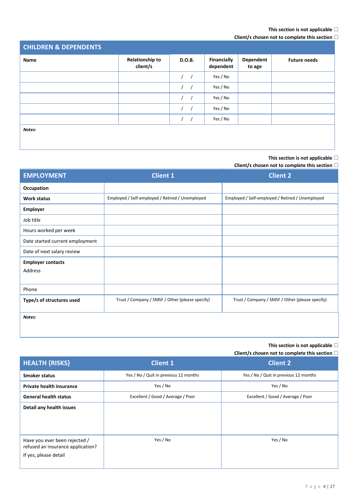#### **This section is not applicable**

### **Client/s chosen not to complete this section**

| <b>CHILDREN &amp; DEPENDENTS</b> |                                    |                  |                                 |                     |                     |
|----------------------------------|------------------------------------|------------------|---------------------------------|---------------------|---------------------|
| Name                             | <b>Relationship to</b><br>client/s | D.O.B.           | <b>Financially</b><br>dependent | Dependent<br>to age | <b>Future needs</b> |
|                                  |                                    | $\prime$ /       | Yes / No                        |                     |                     |
|                                  |                                    | $\left  \right $ | Yes / No                        |                     |                     |
|                                  |                                    | $\frac{1}{2}$    | Yes / No                        |                     |                     |
|                                  |                                    | 1 <sup>1</sup>   | Yes / No                        |                     |                     |
|                                  |                                    | $\frac{1}{2}$    | Yes / No                        |                     |                     |
| Notes:                           |                                    |                  |                                 |                     |                     |

**This section is not applicable**

### **Client/s chosen not to complete this section**

| <b>EMPLOYMENT</b>               | <b>Client 1</b>                                 | <b>Client 2</b>                                 |
|---------------------------------|-------------------------------------------------|-------------------------------------------------|
| <b>Occupation</b>               |                                                 |                                                 |
| Work status                     | Employed / Self-employed / Retired / Unemployed | Employed / Self-employed / Retired / Unemployed |
| <b>Employer</b>                 |                                                 |                                                 |
| Job title                       |                                                 |                                                 |
| Hours worked per week           |                                                 |                                                 |
| Date started current employment |                                                 |                                                 |
| Date of next salary review      |                                                 |                                                 |
| <b>Employer contacts</b>        |                                                 |                                                 |
| Address                         |                                                 |                                                 |
|                                 |                                                 |                                                 |
| Phone                           |                                                 |                                                 |
| Type/s of structures used       | Trust / Company / SMSF / Other (please specify) | Trust / Company / SMSF / Other (please specify) |
| Notes:                          |                                                 |                                                 |
|                                 |                                                 |                                                 |

**This section is not applicable**

| <b>HEALTH {RISKS}</b>                                                                       | <b>Client 1</b>                       | <b>Client 2</b>                       |
|---------------------------------------------------------------------------------------------|---------------------------------------|---------------------------------------|
| <b>Smoker status</b>                                                                        | Yes / No / Quit in previous 12 months | Yes / No / Quit in previous 12 months |
| Private health insurance                                                                    | Yes / No                              | Yes / No                              |
| <b>General health status</b>                                                                | Excellent / Good / Average / Poor     | Excellent / Good / Average / Poor     |
| Detail any health issues                                                                    |                                       |                                       |
| Have you ever been rejected /<br>refused an insurance application?<br>If yes, please detail | Yes / No                              | Yes / No                              |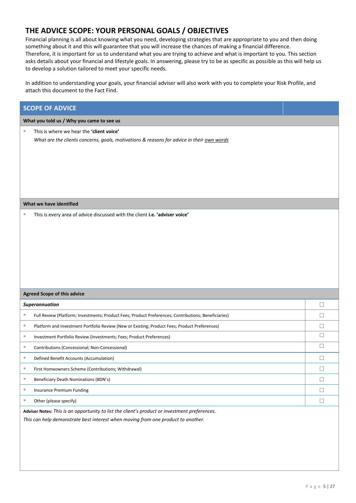## **THE ADVICE SCOPE: YOUR PERSONAL GOALS / OBJECTIVES**

Financial planning is all about knowing what you need, developing strategies that are appropriate to you and then doing something about it and this will guarantee that you will increase the chances of making a financial difference. Therefore, it is important for us to understand what you are trying to achieve and what is important to you. This section asks details about your financial and lifestyle goals. In answering, please try to be as specific as possible as this will help us to develop a solution tailored to meet your specific needs.

In addition to understanding your goals, your financial adviser will also work with you to complete your Risk Profile, and attach this document to the Fact Find.

| <b>SCOPE OF ADVICE</b>                                                                                                                     |        |
|--------------------------------------------------------------------------------------------------------------------------------------------|--------|
| What you told us / Why you came to see us                                                                                                  |        |
| This is where we hear the 'client voice'<br>ш<br>What are the clients concerns, goals, motivations & reasons for advice in their own words |        |
| What we have identified                                                                                                                    |        |
|                                                                                                                                            |        |
| <b>Agreed Scope of this advice</b>                                                                                                         |        |
| Superannuation                                                                                                                             | $\Box$ |
| ш<br>Full Review (Platform; Investments; Product Fees; Product Preferences; Contributions; Beneficiaries)                                  | $\Box$ |
| Platform and Investment Portfolio Review (New or Existing; Product Fees; Product Preferences)<br>ш                                         | □      |
| ш<br>Investment Portfolio Review (Investments; Fees; Product Preferences)                                                                  | $\Box$ |
| Contributions (Concessional; Non-Concessional)<br>ш                                                                                        | $\Box$ |
| Defined Benefit Accounts (Accumulation)<br>ш                                                                                               | □      |
| ш<br>First Homeowners Scheme (Contributions; Withdrawal)                                                                                   | Ц      |
| ш<br>Beneficiary Death Nominations (BDN's)                                                                                                 | $\Box$ |
| ш<br><b>Insurance Premium Funding</b>                                                                                                      | $\Box$ |
| Other (please specify)<br>ш                                                                                                                | $\Box$ |
| Adviser Notes: This is an opportunity to list the client's product or investment preferences.                                              |        |

*This can help demonstrate best interest when moving from one product to another.*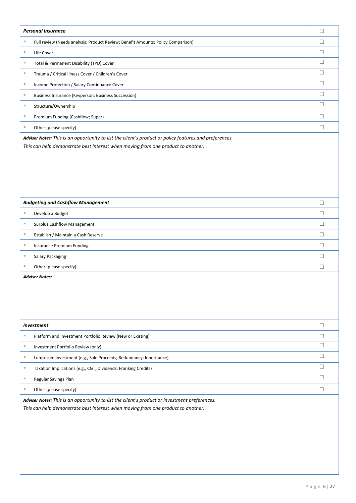|          | <b>Personal Insurance</b>                                                                                                                                                                  | $\Box$ |  |  |
|----------|--------------------------------------------------------------------------------------------------------------------------------------------------------------------------------------------|--------|--|--|
| ш        | Full review (Needs analysis; Product Review; Benefit Amounts; Policy Comparison)                                                                                                           | П      |  |  |
| ٠        | Life Cover                                                                                                                                                                                 | $\Box$ |  |  |
| ш        | Total & Permanent Disability (TPD) Cover                                                                                                                                                   | □      |  |  |
| ×.       | Trauma / Critical Illness Cover / Children's Cover                                                                                                                                         | $\Box$ |  |  |
| $\equiv$ | Income Protection / Salary Continuance Cover                                                                                                                                               | □      |  |  |
| ×.       | Business Insurance (Keyperson; Business Succession)                                                                                                                                        | $\Box$ |  |  |
| ш        | Structure/Ownership                                                                                                                                                                        | □      |  |  |
| ×.       | Premium Funding (Cashflow; Super)                                                                                                                                                          | П      |  |  |
| ш        | Other (please specify)                                                                                                                                                                     | П      |  |  |
|          | Adviser Notes: This is an opportunity to list the client's product or policy features and preferences.<br>This can help demonstrate best interest when moving from one product to another. |        |  |  |
|          | <b>Budgeting and Cashflow Management</b>                                                                                                                                                   | $\Box$ |  |  |
| ш        | Develop a Budget                                                                                                                                                                           | П      |  |  |
| ×.       | <b>Surplus Cashflow Management</b>                                                                                                                                                         | □      |  |  |
| ш        | Establish / Maintain a Cash Reserve                                                                                                                                                        | П      |  |  |
| ш        | Insurance Premium Funding                                                                                                                                                                  | □      |  |  |
| ш        | Salary Packaging                                                                                                                                                                           | П      |  |  |
| ш        | Other (please specify)                                                                                                                                                                     | $\Box$ |  |  |
|          | <b>Adviser Notes:</b>                                                                                                                                                                      |        |  |  |
|          | <b>Investment</b>                                                                                                                                                                          | $\Box$ |  |  |
| ш        | Platform and Investment Portfolio Review (New or Existing)                                                                                                                                 | $\Box$ |  |  |
| ٠        | Investment Portfolio Review (only)                                                                                                                                                         | □      |  |  |
| ٠        | Lump-sum investment (e.g., Sale Proceeds; Redundancy; Inheritance)                                                                                                                         | $\Box$ |  |  |
| ٠        | Taxation Implications (e.g., CGT; Dividends; Franking Credits)                                                                                                                             | $\Box$ |  |  |
| ٠        | Regular Savings Plan                                                                                                                                                                       | $\Box$ |  |  |
| ٠        | Other (please specify)                                                                                                                                                                     | $\Box$ |  |  |
|          | Adviser Notes: This is an opportunity to list the client's product or investment preferences.<br>This can help demonstrate best interest when moving from one product to another.          |        |  |  |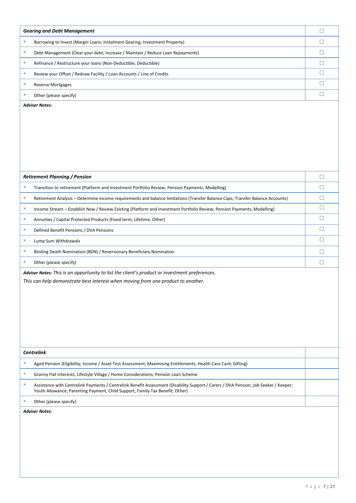|    | <b>Gearing and Debt Management</b>                                                                                                                                                | □      |
|----|-----------------------------------------------------------------------------------------------------------------------------------------------------------------------------------|--------|
| ш  | Borrowing to Invest (Margin Loans; Instalment Gearing; Investment Property)                                                                                                       | □      |
| ш  | Debt Management (Clear your debt; Increase / Maintain / Reduce Loan Repayments)                                                                                                   | □      |
| ш  | Refinance / Restructure your loans (Non-Deductible; Deductible)                                                                                                                   | □      |
| ш  | Review your Offset / Redraw Facility / Loan Accounts / Line of Credits                                                                                                            | $\Box$ |
| ш  | <b>Reverse Mortgages</b>                                                                                                                                                          | $\Box$ |
| ш  | Other (please specify)                                                                                                                                                            | $\Box$ |
|    | <b>Adviser Notes:</b>                                                                                                                                                             |        |
|    | <b>Retirement Planning / Pension</b>                                                                                                                                              | $\Box$ |
| ш  | Transition to retirement (Platform and Investment Portfolio Review; Pension Payments; Modelling)                                                                                  | □      |
| ×. | Retirement Analysis - Determine income requirements and balance limitations (Transfer Balance Caps; Transfer Balance Accounts)                                                    | $\Box$ |
| ш  | Income Stream - Establish New / Review Existing (Platform and Investment Portfolio Review; Pension Payments; Modelling)                                                           | □      |
| ш  | Annuities / Capital Protected Products (Fixed term; Lifetime; Other)                                                                                                              | $\Box$ |
| ш  | Defined Benefit Pensions / DVA Pensions                                                                                                                                           | $\Box$ |
| ш  | Lump Sum Withdrawals                                                                                                                                                              | □      |
| ш  | Binding Death Nomination (BDN) / Reversionary Beneficiary Nomination                                                                                                              | □      |
| ш  | Other (please specify)                                                                                                                                                            | $\Box$ |
|    | Adviser Notes: This is an opportunity to list the client's product or investment preferences.<br>This can help demonstrate best interest when moving from one product to another. |        |
|    | <b>Centrelink</b>                                                                                                                                                                 |        |
| ш  | Aged Pension (Eligibility; Income / Asset Test Assessment; Maximising Entitlements; Health Care Card; Gifting)                                                                    |        |
| ×. | Granny Flat Interests; Lifestyle Village / Home Considerations; Pension Loan Scheme                                                                                               |        |
|    | Assistance with Centrelink Payments / Centrelink Benefit Assessment (Disability Support / Carers / DVA Pension; Job Seeker / Keeper;                                              |        |
| ×. | Youth Allowance; Parenting Payment, Child Support, Family Tax Benefit; Other)                                                                                                     |        |
| ш  | Other (please specify)                                                                                                                                                            |        |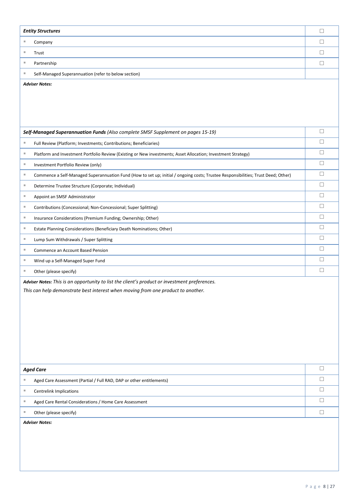|   | <b>Entity Structures</b>                                                                                                          | $\Box$ |
|---|-----------------------------------------------------------------------------------------------------------------------------------|--------|
| ш | Company                                                                                                                           | $\Box$ |
| ш | Trust                                                                                                                             | $\Box$ |
| ш | Partnership                                                                                                                       | $\Box$ |
| Ш | Self-Managed Superannuation (refer to below section)                                                                              |        |
|   | <b>Adviser Notes:</b>                                                                                                             |        |
|   |                                                                                                                                   |        |
|   |                                                                                                                                   |        |
|   |                                                                                                                                   |        |
|   |                                                                                                                                   |        |
|   | Self-Managed Superannuation Funds (Also complete SMSF Supplement on pages 15-19)                                                  | $\Box$ |
| ш | Full Review (Platform; Investments; Contributions; Beneficiaries)                                                                 | $\Box$ |
| ш | Platform and Investment Portfolio Review (Existing or New investments; Asset Allocation; Investment Strategy)                     | $\Box$ |
| ш | Investment Portfolio Review (only)                                                                                                | $\Box$ |
| ш | Commence a Self-Managed Superannuation Fund (How to set up; initial / ongoing costs; Trustee Responsibilities; Trust Deed; Other) | $\Box$ |
| ш | Determine Trustee Structure (Corporate; Individual)                                                                               | $\Box$ |
| ш | Appoint an SMSF Administrator                                                                                                     | $\Box$ |
| ш | Contributions (Concessional; Non-Concessional; Super Splitting)                                                                   | $\Box$ |
| ш | Insurance Considerations (Premium Funding; Ownership; Other)                                                                      | $\Box$ |
| ш | Estate Planning Considerations (Beneficiary Death Nominations; Other)                                                             | $\Box$ |
| ш | Lump Sum Withdrawals / Super Splitting                                                                                            | $\Box$ |
| ш | Commence an Account Based Pension                                                                                                 | $\Box$ |
| ш | Wind up a Self-Managed Super Fund                                                                                                 | $\Box$ |
| ш | Other (please specify)                                                                                                            | $\Box$ |
|   | Adviser Notes: This is an opportunity to list the client's product or investment preferences.                                     |        |
|   | This can help demonstrate best interest when moving from one product to another.                                                  |        |
|   |                                                                                                                                   |        |
|   |                                                                                                                                   |        |
|   |                                                                                                                                   |        |
|   |                                                                                                                                   |        |
|   |                                                                                                                                   |        |
|   |                                                                                                                                   |        |
|   | <b>Aged Care</b>                                                                                                                  | $\Box$ |
| ш | Aged Care Assessment (Partial / Full RAD, DAP or other entitlements)                                                              | $\Box$ |
| ш | <b>Centrelink Implications</b>                                                                                                    | $\Box$ |
| ш | Aged Care Rental Considerations / Home Care Assessment                                                                            | $\Box$ |
| ш | Other (please specify)                                                                                                            | $\Box$ |
|   | <b>Adviser Notes:</b>                                                                                                             |        |
|   |                                                                                                                                   |        |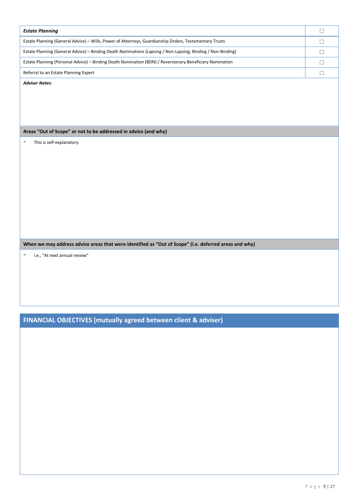| <b>Estate Planning</b>                                                                                      |  |
|-------------------------------------------------------------------------------------------------------------|--|
| Estate Planning (General Advice) – Wills, Power of Attorneys, Guardianship Orders, Testamentary Trusts      |  |
| Estate Planning (General Advice) – Binding Death Nominations (Lapsing / Non-Lapsing; Binding / Non-Binding) |  |
| Estate Planning (Personal Advice) – Binding Death Nomination (BDN) / Reversionary Beneficiary Nomination    |  |
| Referral to an Estate Planning Expert                                                                       |  |

*Adviser Notes:*

**Areas "Out of Scope" or not to be addressed in advice (and why)**

■ This is self-explanatory.

**When we may address advice areas that were identified as "Out of Scope" (i.e. deferred areas and why)**

■ i.e., "At next annual review"

**FINANCIAL OBJECTIVES (mutually agreed between client & adviser)**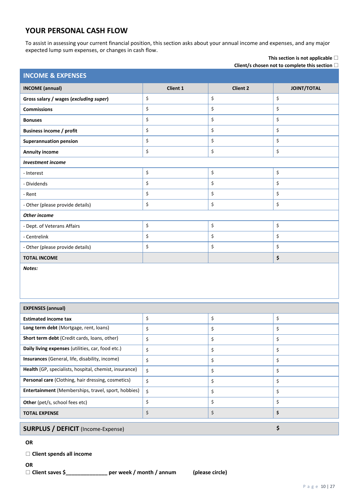## **YOUR PERSONAL CASH FLOW**

To assist in assessing your current financial position, this section asks about your annual income and expenses, and any major expected lump sum expenses, or changes in cash flow. **This section is not applicable**

| Client/s chosen not to complete this section $\square$ |                 |                 |                    |  |  |  |  |
|--------------------------------------------------------|-----------------|-----------------|--------------------|--|--|--|--|
| <b>INCOME &amp; EXPENSES</b>                           |                 |                 |                    |  |  |  |  |
| <b>INCOME</b> (annual)                                 | <b>Client 1</b> | <b>Client 2</b> | <b>JOINT/TOTAL</b> |  |  |  |  |
| Gross salary / wages (excluding super)                 | \$              | \$              | \$                 |  |  |  |  |
| <b>Commissions</b>                                     | \$              | \$              | \$                 |  |  |  |  |
| <b>Bonuses</b>                                         | \$              | \$              | \$                 |  |  |  |  |
| <b>Business income / profit</b>                        | \$              | \$              | \$                 |  |  |  |  |
| <b>Superannuation pension</b>                          | \$              | \$              | \$                 |  |  |  |  |
| <b>Annuity income</b>                                  | \$              | \$              | \$                 |  |  |  |  |
| <b>Investment income</b>                               |                 |                 |                    |  |  |  |  |
| - Interest                                             | \$              | \$              | \$                 |  |  |  |  |
| - Dividends                                            | \$              | \$              | \$                 |  |  |  |  |
| - Rent                                                 | \$              | \$              | \$                 |  |  |  |  |
| - Other (please provide details)                       | \$              | \$              | \$                 |  |  |  |  |
| <b>Other income</b>                                    |                 |                 |                    |  |  |  |  |
| - Dept. of Veterans Affairs                            | \$              | \$              | \$                 |  |  |  |  |
| - Centrelink                                           | \$              | \$              | \$                 |  |  |  |  |
| - Other (please provide details)                       | \$              | \$              | \$                 |  |  |  |  |
| <b>TOTAL INCOME</b>                                    |                 |                 | \$                 |  |  |  |  |
|                                                        |                 |                 |                    |  |  |  |  |

*Notes:*

| <b>EXPENSES (annual)</b>                               |    |    |    |  |  |
|--------------------------------------------------------|----|----|----|--|--|
| <b>Estimated income tax</b>                            | \$ | \$ | \$ |  |  |
| Long term debt (Mortgage, rent, loans)                 | \$ | \$ | \$ |  |  |
| <b>Short term debt</b> (Credit cards, loans, other)    | \$ | \$ | \$ |  |  |
| Daily living expenses (utilities, car, food etc.)      | \$ | \$ | \$ |  |  |
| <b>Insurances</b> (General, life, disability, income)  | \$ | \$ | \$ |  |  |
| Health (GP, specialists, hospital, chemist, insurance) | Ś. | \$ | \$ |  |  |
| Personal care (Clothing, hair dressing, cosmetics)     | \$ | \$ | \$ |  |  |
| Entertainment (Memberships, travel, sport, hobbies)    | Ś. | \$ | \$ |  |  |
| <b>Other</b> (pet/s, school fees etc)                  | \$ | \$ | \$ |  |  |
| <b>TOTAL EXPENSE</b>                                   | \$ | \$ | \$ |  |  |
| <b>SURPLUS / DEFICIT</b> (Income-Expense)              |    |    |    |  |  |

**OR**

**Client spends all income**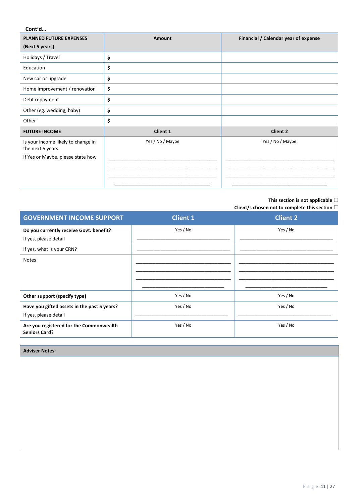**Cont'd…**

| <b>PLANNED FUTURE EXPENSES</b>                          | <b>Amount</b>    | Financial / Calendar year of expense |
|---------------------------------------------------------|------------------|--------------------------------------|
| (Next 5 years)                                          |                  |                                      |
| Holidays / Travel                                       | \$               |                                      |
| Education                                               | \$               |                                      |
| New car or upgrade                                      | \$               |                                      |
| Home improvement / renovation                           | \$               |                                      |
| Debt repayment                                          | \$               |                                      |
| Other (eg. wedding, baby)                               | \$               |                                      |
| Other                                                   | \$               |                                      |
| <b>FUTURE INCOME</b>                                    | <b>Client 1</b>  | <b>Client 2</b>                      |
| Is your income likely to change in<br>the next 5 years. | Yes / No / Maybe | Yes / No / Maybe                     |
| If Yes or Maybe, please state how                       |                  |                                      |
|                                                         |                  |                                      |
|                                                         |                  |                                      |

#### **This section is not applicable**

**Client/s chosen not to complete this section**

| <b>GOVERNMENT INCOME SUPPORT</b>                                     | <b>Client 1</b> | <b>Client 2</b> |
|----------------------------------------------------------------------|-----------------|-----------------|
| Do you currently receive Govt. benefit?<br>If yes, please detail     | Yes / No        | Yes / No        |
| If yes, what is your CRN?                                            |                 |                 |
| <b>Notes</b>                                                         |                 |                 |
| Other support (specify type)                                         | Yes / No        | Yes / No        |
| Have you gifted assets in the past 5 years?<br>If yes, please detail | Yes / No        | Yes / No        |
| Are you registered for the Commonwealth<br><b>Seniors Card?</b>      | Yes / No        | Yes / No        |

#### **Adviser Notes:**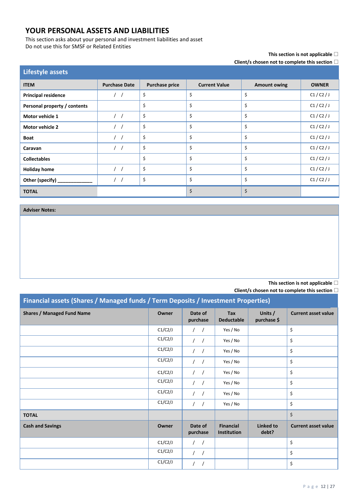## **YOUR PERSONAL ASSETS AND LIABILITIES**

This section asks about your personal and investment liabilities and asset Do not use this for SMSF or Related Entities

## **This section is not applicable**

**Client/s chosen not to complete this section**

| <b>Lifestyle assets</b>      |                      |                       |                      |                     |              |
|------------------------------|----------------------|-----------------------|----------------------|---------------------|--------------|
| <b>ITEM</b>                  | <b>Purchase Date</b> | <b>Purchase price</b> | <b>Current Value</b> | <b>Amount owing</b> | <b>OWNER</b> |
| <b>Principal residence</b>   | $\left  \right $     | \$                    | \$                   | \$                  | C1/C2/J      |
| Personal property / contents |                      | \$                    | \$                   | \$                  | C1/C2/J      |
| Motor vehicle 1              | $\frac{1}{2}$        | \$                    | \$                   | \$                  | C1/C2/J      |
| Motor vehicle 2              | $\frac{1}{2}$        | \$                    | \$                   | \$                  | C1/C2/J      |
| <b>Boat</b>                  | $\prime$ $\prime$    | \$                    | \$                   | \$                  | C1/C2/J      |
| Caravan                      | $\frac{1}{2}$        | \$                    | \$                   | \$                  | C1/C2/J      |
| <b>Collectables</b>          |                      | \$                    | \$                   | \$                  | C1/C2/J      |
| <b>Holiday home</b>          | $\frac{1}{2}$        | \$                    | \$                   | \$                  | C1/C2/J      |
| Other (specify)              | $\prime$ /           | \$                    | \$                   | \$                  | C1/C2/J      |
| <b>TOTAL</b>                 |                      |                       | \$                   | \$                  |              |

**Adviser Notes:**

**This section is not applicable**

| Financial assets (Shares / Managed funds / Term Deposits / Investment Properties) |         |                          |                                 |                           |                            |
|-----------------------------------------------------------------------------------|---------|--------------------------|---------------------------------|---------------------------|----------------------------|
| <b>Shares / Managed Fund Name</b>                                                 | Owner   | Date of<br>purchase      | <b>Tax</b><br><b>Deductable</b> | Units /<br>purchase \$    | <b>Current asset value</b> |
|                                                                                   | C1/C2/J | $\frac{1}{2}$            | Yes / No                        |                           | \$                         |
|                                                                                   | C1/C2/J | $\sqrt{2}$               | Yes / No                        |                           | \$                         |
|                                                                                   | C1/C2/J | $\sqrt{2}$               | Yes / No                        |                           | \$                         |
|                                                                                   | C1/C2/J | $\sqrt{ }$<br>$\sqrt{ }$ | Yes / No                        |                           | \$                         |
|                                                                                   | C1/C2/J | $\prime$<br>$\prime$     | Yes / No                        |                           | \$                         |
|                                                                                   | C1/C2/J | $\sqrt{2}$               | Yes / No                        |                           | \$                         |
|                                                                                   | C1/C2/J | $\frac{1}{2}$            | Yes / No                        |                           | \$                         |
|                                                                                   | C1/C2/J | $\frac{1}{2}$            | Yes / No                        |                           | \$                         |
| <b>TOTAL</b>                                                                      |         |                          |                                 |                           | \$                         |
| <b>Cash and Savings</b>                                                           | Owner   | Date of<br>purchase      | <b>Financial</b><br>Institution | <b>Linked to</b><br>debt? | <b>Current asset value</b> |
|                                                                                   | C1/C2/J | $\sqrt{2}$               |                                 |                           | \$                         |
|                                                                                   | C1/C2/J | $\left  \right $         |                                 |                           | \$                         |
|                                                                                   | C1/C2/J |                          |                                 |                           | \$                         |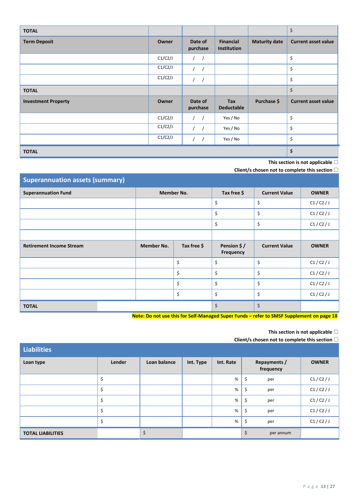| <b>TOTAL</b>               |         |                     |                                 |                      | \$                         |
|----------------------------|---------|---------------------|---------------------------------|----------------------|----------------------------|
| <b>Term Deposit</b>        | Owner   | Date of<br>purchase | <b>Financial</b><br>Institution | <b>Maturity date</b> | <b>Current asset value</b> |
|                            | C1/C2/J | $\left  \right $    |                                 |                      | \$                         |
|                            | C1/C2/J | 1/                  |                                 |                      | \$                         |
|                            | C1/C2/J | 1 <sup>1</sup>      |                                 |                      | \$                         |
| <b>TOTAL</b>               |         |                     |                                 |                      | \$                         |
| <b>Investment Property</b> | Owner   | Date of<br>purchase | Tax<br><b>Deductable</b>        | Purchase \$          | <b>Current asset value</b> |
|                            | C1/C2/J | $\frac{1}{2}$       | Yes / No                        |                      | \$                         |
|                            | C1/C2/J | $1 \quad 1$         | Yes / No                        |                      | \$                         |
|                            | C1/C2/J |                     | Yes / No                        |                      | \$                         |
| <b>TOTAL</b>               |         |                     |                                 |                      | \$                         |

**This section is not applicable**

**Client/s chosen not to complete this section**

| <b>Superannuation assets (summary)</b> |                   |             |                          |                      |              |  |  |
|----------------------------------------|-------------------|-------------|--------------------------|----------------------|--------------|--|--|
| <b>Superannuation Fund</b>             |                   | Member No.  | Tax free \$              | <b>Current Value</b> | <b>OWNER</b> |  |  |
|                                        |                   |             | \$                       | \$                   | C1/C2/J      |  |  |
|                                        |                   |             | \$                       | \$                   | C1/C2/J      |  |  |
|                                        |                   |             | \$                       | \$                   | C1/C2/J      |  |  |
|                                        |                   |             |                          |                      |              |  |  |
| <b>Retirement Income Stream</b>        | <b>Member No.</b> | Tax free \$ | Pension \$/<br>Frequency | <b>Current Value</b> | <b>OWNER</b> |  |  |
|                                        |                   | \$          | \$                       | \$                   | C1/C2/J      |  |  |
|                                        |                   | \$          | \$                       | \$                   | C1/C2/J      |  |  |
|                                        |                   | \$          | \$                       | \$                   | C1/C2/J      |  |  |
|                                        |                   | \$          | \$                       | \$                   | C1/C2/J      |  |  |
| <b>TOTAL</b>                           |                   |             | \$                       | \$                   |              |  |  |

 **Note: Do not use this for Self-Managed Super Funds – refer to SMSF Supplement on page 18**

## **This section is not applicable**

| <b>Liabilities</b>       |        |              |           |           |                                  |              |
|--------------------------|--------|--------------|-----------|-----------|----------------------------------|--------------|
| Loan type                | Lender | Loan balance | Int. Type | Int. Rate | <b>Repayments /</b><br>frequency | <b>OWNER</b> |
|                          | ⇒      |              |           | %         | \$<br>per                        | C1/C2/J      |
|                          | \$     |              |           | %         | \$<br>per                        | C1/C2/J      |
|                          | \$     |              |           | %         | \$<br>per                        | C1/C2/J      |
|                          | \$     |              |           | %         | \$<br>per                        | C1/C2/J      |
|                          | \$     |              |           | %         | \$<br>per                        | C1/C2/J      |
| <b>TOTAL LIABILITIES</b> |        | \$           |           |           | \$<br>per annum                  |              |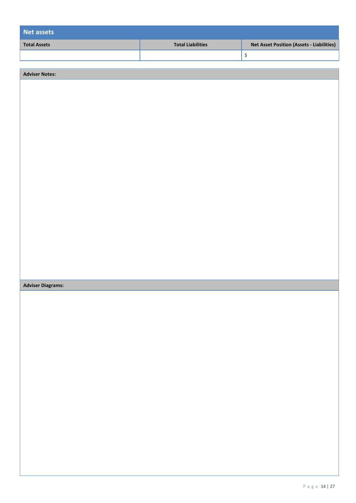| Net assets          |                          |                                                  |
|---------------------|--------------------------|--------------------------------------------------|
| <b>Total Assets</b> | <b>Total Liabilities</b> | <b>Net Asset Position (Assets - Liabilities)</b> |
|                     |                          |                                                  |

| <b>Adviser Notes:</b>    |  |
|--------------------------|--|
|                          |  |
|                          |  |
|                          |  |
|                          |  |
|                          |  |
|                          |  |
|                          |  |
|                          |  |
|                          |  |
|                          |  |
|                          |  |
|                          |  |
|                          |  |
|                          |  |
|                          |  |
|                          |  |
|                          |  |
| <b>Adviser Diagrams:</b> |  |
|                          |  |
|                          |  |
|                          |  |
|                          |  |
|                          |  |
|                          |  |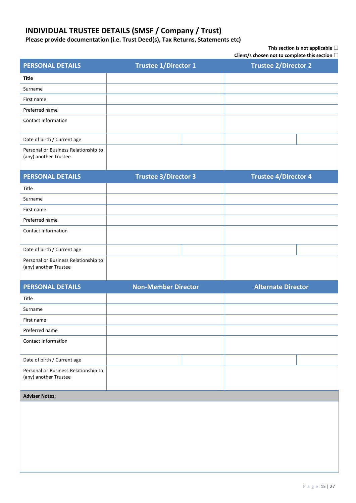## **INDIVIDUAL TRUSTEE DETAILS (SMSF / Company / Trust)**

**Please provide documentation (i.e. Trust Deed(s), Tax Returns, Statements etc)**

#### **This section is not applicable**

| <b>PERSONAL DETAILS</b>                                       | <b>Trustee 1/Director 1</b> | <b>Trustee 2/Director 2</b> |  |  |  |
|---------------------------------------------------------------|-----------------------------|-----------------------------|--|--|--|
| <b>Title</b>                                                  |                             |                             |  |  |  |
| Surname                                                       |                             |                             |  |  |  |
| First name                                                    |                             |                             |  |  |  |
| Preferred name                                                |                             |                             |  |  |  |
| Contact Information                                           |                             |                             |  |  |  |
| Date of birth / Current age                                   |                             |                             |  |  |  |
| Personal or Business Relationship to<br>(any) another Trustee |                             |                             |  |  |  |
| <b>PERSONAL DETAILS</b>                                       | <b>Trustee 3/Director 3</b> | <b>Trustee 4/Director 4</b> |  |  |  |
| Title                                                         |                             |                             |  |  |  |
| Surname                                                       |                             |                             |  |  |  |
| First name                                                    |                             |                             |  |  |  |
| Preferred name                                                |                             |                             |  |  |  |
| Contact Information                                           |                             |                             |  |  |  |
| Date of birth / Current age                                   |                             |                             |  |  |  |
| Personal or Business Relationship to<br>(any) another Trustee |                             |                             |  |  |  |
| <b>PERSONAL DETAILS</b>                                       | <b>Non-Member Director</b>  | <b>Alternate Director</b>   |  |  |  |
| Title                                                         |                             |                             |  |  |  |
| Surname                                                       |                             |                             |  |  |  |
| First name                                                    |                             |                             |  |  |  |
| Preferred name                                                |                             |                             |  |  |  |
| Contact Information                                           |                             |                             |  |  |  |
| Date of birth / Current age                                   |                             |                             |  |  |  |
| Personal or Business Relationship to<br>(any) another Trustee |                             |                             |  |  |  |
| <b>Adviser Notes:</b>                                         |                             |                             |  |  |  |
|                                                               |                             |                             |  |  |  |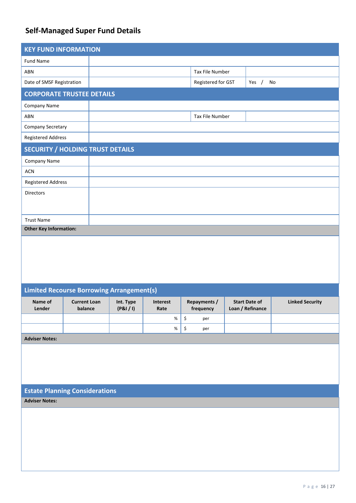## **Self-Managed Super Fund Details**

| <b>KEY FUND INFORMATION</b>                      |                     |           |                 |                      |                     |                      |         |                        |  |
|--------------------------------------------------|---------------------|-----------|-----------------|----------------------|---------------------|----------------------|---------|------------------------|--|
| Fund Name                                        |                     |           |                 |                      |                     |                      |         |                        |  |
| ABN                                              |                     |           |                 |                      | Tax File Number     |                      |         |                        |  |
| Date of SMSF Registration                        |                     |           |                 |                      | Registered for GST  |                      | Yes $/$ | No                     |  |
| <b>CORPORATE TRUSTEE DETAILS</b>                 |                     |           |                 |                      |                     |                      |         |                        |  |
| Company Name                                     |                     |           |                 |                      |                     |                      |         |                        |  |
| ABN                                              |                     |           |                 |                      | Tax File Number     |                      |         |                        |  |
| Company Secretary                                |                     |           |                 |                      |                     |                      |         |                        |  |
| <b>Registered Address</b>                        |                     |           |                 |                      |                     |                      |         |                        |  |
| <b>SECURITY / HOLDING TRUST DETAILS</b>          |                     |           |                 |                      |                     |                      |         |                        |  |
| Company Name                                     |                     |           |                 |                      |                     |                      |         |                        |  |
| <b>ACN</b>                                       |                     |           |                 |                      |                     |                      |         |                        |  |
| <b>Registered Address</b>                        |                     |           |                 |                      |                     |                      |         |                        |  |
| Directors                                        |                     |           |                 |                      |                     |                      |         |                        |  |
|                                                  |                     |           |                 |                      |                     |                      |         |                        |  |
| <b>Trust Name</b>                                |                     |           |                 |                      |                     |                      |         |                        |  |
| <b>Other Key Information:</b>                    |                     |           |                 |                      |                     |                      |         |                        |  |
|                                                  |                     |           |                 |                      |                     |                      |         |                        |  |
|                                                  |                     |           |                 |                      |                     |                      |         |                        |  |
|                                                  |                     |           |                 |                      |                     |                      |         |                        |  |
|                                                  |                     |           |                 |                      |                     |                      |         |                        |  |
| <b>Limited Recourse Borrowing Arrangement(s)</b> |                     |           |                 |                      |                     |                      |         |                        |  |
| Name of                                          | <b>Current Loan</b> | Int. Type | <b>Interest</b> |                      | <b>Repayments /</b> | <b>Start Date of</b> |         | <b>Linked Security</b> |  |
| Lender                                           | balance             | (P&I/1)   | Rate            |                      | trequency           | Loan / Refinance     |         |                        |  |
|                                                  |                     |           | $\%$            | $\boldsymbol{\zeta}$ | per                 |                      |         |                        |  |
|                                                  |                     |           | $\%$            | \$                   | per                 |                      |         |                        |  |
| <b>Adviser Notes:</b>                            |                     |           |                 |                      |                     |                      |         |                        |  |
|                                                  |                     |           |                 |                      |                     |                      |         |                        |  |
|                                                  |                     |           |                 |                      |                     |                      |         |                        |  |
|                                                  |                     |           |                 |                      |                     |                      |         |                        |  |
|                                                  |                     |           |                 |                      |                     |                      |         |                        |  |

## **Estate Planning Considerations**

**Adviser Notes:**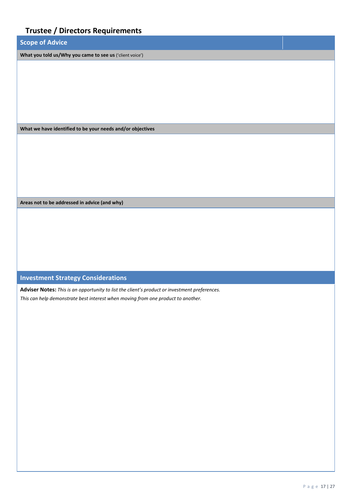| <b>Trustee / Directors Requirements</b>                    |  |
|------------------------------------------------------------|--|
| <b>Scope of Advice</b>                                     |  |
| What you told us/Why you came to see us ('client voice')   |  |
|                                                            |  |
|                                                            |  |
|                                                            |  |
|                                                            |  |
|                                                            |  |
| What we have identified to be your needs and/or objectives |  |
|                                                            |  |
|                                                            |  |
|                                                            |  |
|                                                            |  |
|                                                            |  |
| Areas not to be addressed in advice (and why)              |  |
|                                                            |  |
|                                                            |  |
|                                                            |  |
|                                                            |  |
|                                                            |  |

## **Investment Strategy Considerations**

**Adviser Notes:** *This is an opportunity to list the client's product or investment preferences. This can help demonstrate best interest when moving from one product to another.*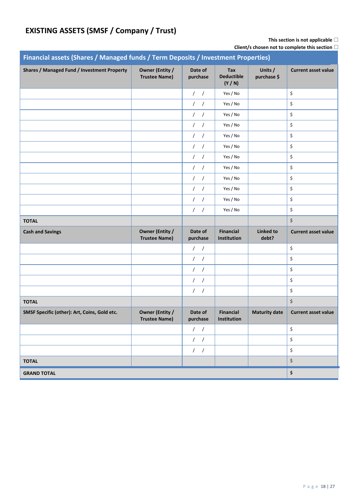## **EXISTING ASSETS (SMSF / Company / Trust)**

## **This section is not applicable**

| Financial assets (Shares / Managed funds / Term Deposits / Investment Properties) |                                                |                          |                                          |                           |                            |  |
|-----------------------------------------------------------------------------------|------------------------------------------------|--------------------------|------------------------------------------|---------------------------|----------------------------|--|
| Shares / Managed Fund / Investment Property                                       | <b>Owner (Entity /</b><br><b>Trustee Name)</b> | Date of<br>purchase      | <b>Tax</b><br><b>Deductible</b><br>(Y/N) | Units /<br>purchase \$    | <b>Current asset value</b> |  |
|                                                                                   |                                                | $\left  \right $         | Yes / No                                 |                           | \$                         |  |
|                                                                                   |                                                | 1 <sup>1</sup>           | Yes / No                                 |                           | \$                         |  |
|                                                                                   |                                                | $\sqrt{2}$<br>$\sqrt{ }$ | Yes / No                                 |                           | \$                         |  |
|                                                                                   |                                                | $\sqrt{2}$<br>$\sqrt{ }$ | Yes / No                                 |                           | \$                         |  |
|                                                                                   |                                                | 1 <sup>1</sup>           | Yes / No                                 |                           | \$                         |  |
|                                                                                   |                                                | 1 <sup>1</sup>           | Yes / No                                 |                           | \$                         |  |
|                                                                                   |                                                | $\sqrt{2}$<br>$\sqrt{ }$ | Yes / No                                 |                           | \$                         |  |
|                                                                                   |                                                | 1 <sup>1</sup>           | Yes / No                                 |                           | \$                         |  |
|                                                                                   |                                                | 1 <sup>1</sup>           | Yes / No                                 |                           | \$                         |  |
|                                                                                   |                                                | $\sqrt{2}$<br>$\sqrt{ }$ | Yes / No                                 |                           | \$                         |  |
|                                                                                   |                                                | $\frac{1}{2}$            | Yes / No                                 |                           | \$                         |  |
|                                                                                   |                                                | $\left  \right $         | Yes / No                                 |                           | \$                         |  |
| <b>TOTAL</b>                                                                      |                                                |                          |                                          |                           | \$                         |  |
| <b>Cash and Savings</b>                                                           | <b>Owner (Entity /</b><br><b>Trustee Name)</b> | Date of<br>purchase      | <b>Financial</b><br>Institution          | <b>Linked to</b><br>debt? | <b>Current asset value</b> |  |
|                                                                                   |                                                | $\frac{1}{2}$            |                                          |                           | \$                         |  |
|                                                                                   |                                                | $\frac{1}{2}$            |                                          |                           | \$                         |  |
|                                                                                   |                                                | $\frac{1}{2}$            |                                          |                           | \$                         |  |
|                                                                                   |                                                | $\frac{1}{2}$            |                                          |                           | \$                         |  |
|                                                                                   |                                                | 1/                       |                                          |                           | \$                         |  |
| <b>TOTAL</b>                                                                      |                                                |                          |                                          |                           | \$                         |  |
| SMSF Specific (other): Art, Coins, Gold etc.                                      | <b>Owner (Entity /</b><br>Trustee Name)        | Date of<br>purchase      | <b>Financial</b><br>Institution          | <b>Maturity date</b>      | <b>Current asset value</b> |  |
|                                                                                   |                                                | $\frac{1}{2}$            |                                          |                           | \$                         |  |
|                                                                                   |                                                | 1                        |                                          |                           | \$                         |  |
|                                                                                   |                                                | 1                        |                                          |                           | \$                         |  |
| <b>TOTAL</b>                                                                      |                                                |                          |                                          |                           | \$                         |  |
| <b>GRAND TOTAL</b>                                                                | $\pmb{\mathsf{s}}$                             |                          |                                          |                           |                            |  |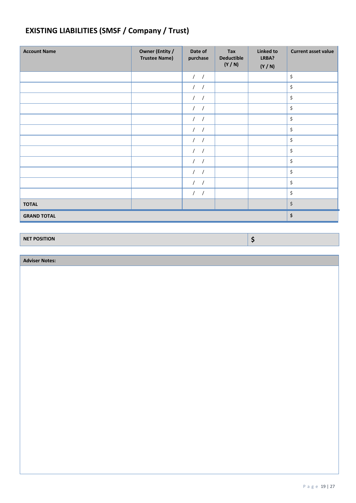## **EXISTING LIABILITIES (SMSF / Company / Trust)**

| <b>Account Name</b> | Owner (Entity /<br><b>Trustee Name)</b> | Date of<br>purchase      | Tax<br><b>Deductible</b><br>(Y/N) | <b>Linked to</b><br>LRBA?<br>(Y/N) | <b>Current asset value</b>     |
|---------------------|-----------------------------------------|--------------------------|-----------------------------------|------------------------------------|--------------------------------|
|                     |                                         | $\frac{1}{2}$            |                                   |                                    | \$                             |
|                     |                                         | $\prime$                 |                                   |                                    | \$                             |
|                     |                                         | $\left  \right $         |                                   |                                    | \$                             |
|                     |                                         | $\frac{1}{2}$            |                                   |                                    | \$                             |
|                     |                                         | $\sqrt{2}$<br>$\sqrt{2}$ |                                   |                                    | \$                             |
|                     |                                         | $\prime$                 |                                   |                                    | \$                             |
|                     |                                         | $\frac{1}{2}$            |                                   |                                    | $\boldsymbol{\zeta}$           |
|                     |                                         | $\frac{1}{2}$            |                                   |                                    | \$                             |
|                     |                                         | $\frac{1}{2}$            |                                   |                                    | \$                             |
|                     |                                         | $\left  \right $         |                                   |                                    | \$                             |
|                     |                                         | $\prime$                 |                                   |                                    | \$                             |
|                     |                                         | $\frac{1}{2}$            |                                   |                                    | \$                             |
| <b>TOTAL</b>        |                                         |                          |                                   |                                    | $\boldsymbol{\dot{\varsigma}}$ |
| <b>GRAND TOTAL</b>  |                                         |                          |                                   |                                    | \$                             |

**NET POSITION \$**

**Adviser Notes:**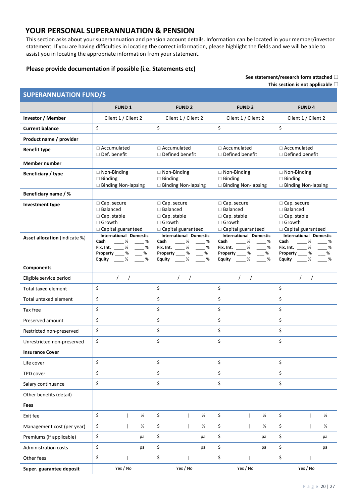## **YOUR PERSONAL SUPERANNUATION & PENSION**

This section asks about your superannuation and pension account details. Information can be located in your member/investor statement. If you are having difficulties in locating the correct information, please highlight the fields and we will be able to assist you in locating the appropriate information from your statement.

### **Please provide documentation if possible (i.e. Statements etc)**

**See statement/research form attached** 

**This section is not applicable**

| <b>SUPERANNUATION FUND/S</b>  |                                                                                                                   |                                                                                                                                  |                                                                                                                               |                                                                                                                           |  |  |
|-------------------------------|-------------------------------------------------------------------------------------------------------------------|----------------------------------------------------------------------------------------------------------------------------------|-------------------------------------------------------------------------------------------------------------------------------|---------------------------------------------------------------------------------------------------------------------------|--|--|
|                               | <b>FUND1</b>                                                                                                      | <b>FUND 2</b>                                                                                                                    | <b>FUND 3</b>                                                                                                                 | <b>FUND4</b>                                                                                                              |  |  |
| Investor / Member             | Client 1 / Client 2                                                                                               | Client 1 / Client 2                                                                                                              | Client 1 / Client 2                                                                                                           | Client 1 / Client 2                                                                                                       |  |  |
| <b>Current balance</b>        | \$                                                                                                                | \$                                                                                                                               | \$                                                                                                                            | \$                                                                                                                        |  |  |
| Product name / provider       |                                                                                                                   |                                                                                                                                  |                                                                                                                               |                                                                                                                           |  |  |
| <b>Benefit type</b>           | $\Box$ Accumulated<br>□ Def. benefit                                                                              | $\Box$ Accumulated<br>□ Defined benefit                                                                                          | $\Box$ Accumulated<br>$\Box$ Defined benefit                                                                                  | □ Accumulated<br>□ Defined benefit                                                                                        |  |  |
| <b>Member number</b>          |                                                                                                                   |                                                                                                                                  |                                                                                                                               |                                                                                                                           |  |  |
| Beneficiary / type            | $\Box$ Non-Binding<br>$\square$ Binding<br>□ Binding Non-lapsing                                                  | □ Non-Binding<br>$\Box$ Binding<br>□ Binding Non-lapsing                                                                         | □ Non-Binding<br>$\Box$ Binding<br>□ Binding Non-lapsing                                                                      | □ Non-Binding<br>$\Box$ Binding<br>□ Binding Non-lapsing                                                                  |  |  |
| Beneficiary name / %          |                                                                                                                   |                                                                                                                                  |                                                                                                                               |                                                                                                                           |  |  |
| <b>Investment type</b>        | □ Cap. secure<br>□ Balanced<br>□ Cap. stable<br>□ Growth<br>□ Capital guaranteed                                  | □ Cap. secure<br>□ Balanced<br>$\Box$ Cap. stable<br>□ Growth<br>□ Capital guaranteed                                            | □ Cap. secure<br>□ Balanced<br>□ Cap. stable<br>□ Growth<br>□ Capital guaranteed                                              | □ Cap. secure<br>□ Balanced<br>□ Cap. stable<br>□ Growth<br>□ Capital guaranteed                                          |  |  |
| Asset allocation (indicate %) | <b>International Domestic</b><br>Cash<br>%<br>%<br>Fix. Int. % %<br>Property ____ % ___ %<br>%<br>Equity ___<br>% | <b>International Domestic</b><br>Cash<br>%<br>%<br>Fix. Int. %<br>%<br>Property ____ %<br>%<br>$\sim$<br>%<br><b>Equity</b><br>% | <b>International Domestic</b><br>Cash<br>%<br>%<br>Fix. Int. %<br>$\%$<br>Property ____ %<br>$-$ %<br>%<br><b>Equity</b><br>% | <b>International Domestic</b><br>Cash<br>%<br>%<br>%<br>Fix. Int.<br>%<br>Property ____ %<br>%<br>%<br>%<br><b>Equity</b> |  |  |
| <b>Components</b>             |                                                                                                                   |                                                                                                                                  |                                                                                                                               |                                                                                                                           |  |  |
| Eligible service period       | 1                                                                                                                 | $\frac{1}{2}$                                                                                                                    | $\sqrt{2}$<br>$\sqrt{2}$                                                                                                      | $\sqrt{2}$<br>$\sqrt{ }$                                                                                                  |  |  |
| Total taxed element           | \$                                                                                                                | \$                                                                                                                               | \$                                                                                                                            | \$                                                                                                                        |  |  |
| Total untaxed element         | \$                                                                                                                | \$                                                                                                                               | \$                                                                                                                            | \$                                                                                                                        |  |  |
| Tax free                      | \$                                                                                                                | \$                                                                                                                               | \$                                                                                                                            | \$                                                                                                                        |  |  |
| Preserved amount              | \$                                                                                                                | \$                                                                                                                               | \$                                                                                                                            | \$                                                                                                                        |  |  |
| Restricted non-preserved      | \$                                                                                                                | \$                                                                                                                               | \$                                                                                                                            | \$                                                                                                                        |  |  |
| Unrestricted non-preserved    | \$                                                                                                                | \$                                                                                                                               | \$                                                                                                                            | \$                                                                                                                        |  |  |
| <b>Insurance Cover</b>        |                                                                                                                   |                                                                                                                                  |                                                                                                                               |                                                                                                                           |  |  |
| Life cover                    | \$                                                                                                                | \$                                                                                                                               | \$                                                                                                                            | \$                                                                                                                        |  |  |
| TPD cover                     | \$                                                                                                                | \$                                                                                                                               | \$                                                                                                                            | \$                                                                                                                        |  |  |
| Salary continuance            | \$                                                                                                                | \$                                                                                                                               | \$                                                                                                                            | \$                                                                                                                        |  |  |
| Other benefits (detail)       |                                                                                                                   |                                                                                                                                  |                                                                                                                               |                                                                                                                           |  |  |
| Fees                          |                                                                                                                   |                                                                                                                                  |                                                                                                                               |                                                                                                                           |  |  |
| Exit fee                      | \$<br>%                                                                                                           | \$<br>%                                                                                                                          | \$<br>%                                                                                                                       | \$<br>%                                                                                                                   |  |  |
| Management cost (per year)    | \$<br>%                                                                                                           | \$<br>%                                                                                                                          | \$<br>%                                                                                                                       | \$<br>%                                                                                                                   |  |  |
| Premiums (if applicable)      | \$<br>pa                                                                                                          | \$<br>pa                                                                                                                         | \$<br>pa                                                                                                                      | \$<br>pa                                                                                                                  |  |  |
| Administration costs          | \$<br>pa                                                                                                          | \$<br>pa                                                                                                                         | \$<br>pa                                                                                                                      | \$<br>pa                                                                                                                  |  |  |
| Other fees                    | \$                                                                                                                | \$                                                                                                                               | \$                                                                                                                            | \$                                                                                                                        |  |  |
| Super. guarantee deposit      | Yes / No                                                                                                          | Yes / No                                                                                                                         | Yes / No                                                                                                                      | Yes / No                                                                                                                  |  |  |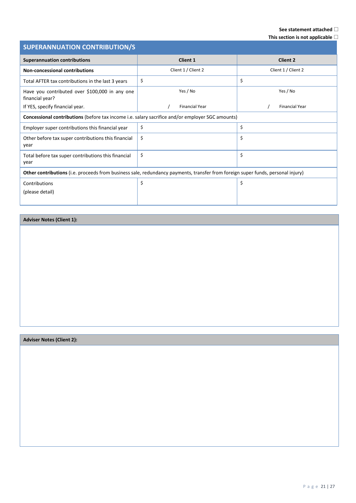## **See statement attached**

**This section is not applicable**

| <b>SUPERANNUATION CONTRIBUTION/S</b>                                                                                            |                       |                       |  |  |  |  |
|---------------------------------------------------------------------------------------------------------------------------------|-----------------------|-----------------------|--|--|--|--|
| <b>Superannuation contributions</b>                                                                                             | <b>Client 1</b>       | <b>Client 2</b>       |  |  |  |  |
| <b>Non-concessional contributions</b>                                                                                           | Client 1 / Client 2   | Client 1 / Client 2   |  |  |  |  |
| Total AFTER tax contributions in the last 3 years                                                                               | \$                    | \$                    |  |  |  |  |
| Have you contributed over \$100,000 in any one<br>financial year?                                                               | Yes / No              | Yes / No              |  |  |  |  |
| If YES, specify financial year.                                                                                                 | <b>Financial Year</b> | <b>Financial Year</b> |  |  |  |  |
| Concessional contributions (before tax income i.e. salary sacrifice and/or employer SGC amounts)                                |                       |                       |  |  |  |  |
| Employer super contributions this financial year                                                                                | \$                    | \$                    |  |  |  |  |
| Other before tax super contributions this financial<br>year                                                                     | \$                    | \$                    |  |  |  |  |
| Total before tax super contributions this financial<br>year                                                                     | \$                    | \$                    |  |  |  |  |
| Other contributions (i.e. proceeds from business sale, redundancy payments, transfer from foreign super funds, personal injury) |                       |                       |  |  |  |  |
| Contributions<br>(please detail)                                                                                                | \$                    | \$                    |  |  |  |  |

### **Adviser Notes (Client 1):**

## **Adviser Notes (Client 2):**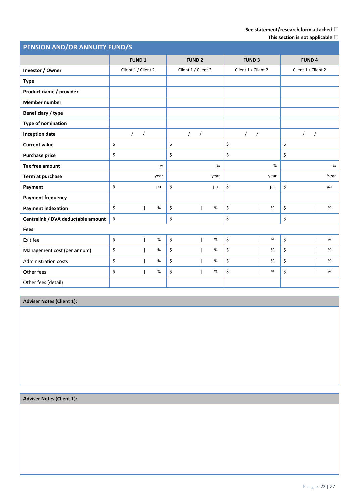## **See statement/research form attached**

|  | This section is not applicable $\square$ |  |
|--|------------------------------------------|--|

| PENSION AND/OR ANNUITY FUND/S      |                     |            |               |          |                     |      |                     |               |      |    |                     |            |      |
|------------------------------------|---------------------|------------|---------------|----------|---------------------|------|---------------------|---------------|------|----|---------------------|------------|------|
|                                    | <b>FUND 1</b>       |            | <b>FUND 2</b> |          | <b>FUND 3</b>       |      |                     | <b>FUND 4</b> |      |    |                     |            |      |
| Investor / Owner                   | Client 1 / Client 2 |            |               |          | Client 1 / Client 2 |      | Client 1 / Client 2 |               |      |    | Client 1 / Client 2 |            |      |
| <b>Type</b>                        |                     |            |               |          |                     |      |                     |               |      |    |                     |            |      |
| Product name / provider            |                     |            |               |          |                     |      |                     |               |      |    |                     |            |      |
| <b>Member number</b>               |                     |            |               |          |                     |      |                     |               |      |    |                     |            |      |
| Beneficiary / type                 |                     |            |               |          |                     |      |                     |               |      |    |                     |            |      |
| Type of nomination                 |                     |            |               |          |                     |      |                     |               |      |    |                     |            |      |
| <b>Inception date</b>              | $\prime$            | $\sqrt{ }$ |               | $\prime$ | $\overline{1}$      |      | $\prime$            | $\prime$      |      |    | $\sqrt{2}$          | $\sqrt{2}$ |      |
| <b>Current value</b>               | \$                  |            |               | \$       |                     |      | \$                  |               |      | \$ |                     |            |      |
| <b>Purchase price</b>              | \$                  |            |               | \$       |                     |      | \$                  |               |      | \$ |                     |            |      |
| <b>Tax free amount</b>             |                     |            | %             |          |                     | $\%$ |                     |               | %    |    |                     |            | $\%$ |
| Term at purchase                   |                     |            | year          |          |                     | year |                     |               | year |    |                     |            | Year |
| Payment                            | \$                  |            | pa            | \$       |                     | pa   | \$                  |               | pa   | \$ |                     |            | pa   |
| <b>Payment frequency</b>           |                     |            |               |          |                     |      |                     |               |      |    |                     |            |      |
| <b>Payment indexation</b>          | \$                  |            | $\%$          | \$       |                     | $\%$ | \$                  |               | %    | \$ |                     |            | $\%$ |
| Centrelink / DVA deductable amount | \$                  |            |               | \$       |                     |      | \$                  |               |      | \$ |                     |            |      |
| Fees                               |                     |            |               |          |                     |      |                     |               |      |    |                     |            |      |
| Exit fee                           | \$                  |            | $\%$          | \$       |                     | %    | \$                  |               | $\%$ | \$ |                     |            | %    |
| Management cost (per annum)        | \$                  |            | $\%$          | \$       |                     | %    | \$                  |               | %    | \$ |                     |            | %    |
| <b>Administration costs</b>        | \$                  |            | $\%$          | \$       |                     | $\%$ | \$                  |               | %    | \$ |                     |            | %    |
| Other fees                         | \$                  |            | $\%$          | \$       |                     | $\%$ | \$                  |               | $\%$ | \$ |                     |            | $\%$ |
| Other fees (detail)                |                     |            |               |          |                     |      |                     |               |      |    |                     |            |      |

**Adviser Notes (Client 1):**

**Adviser Notes (Client 1):**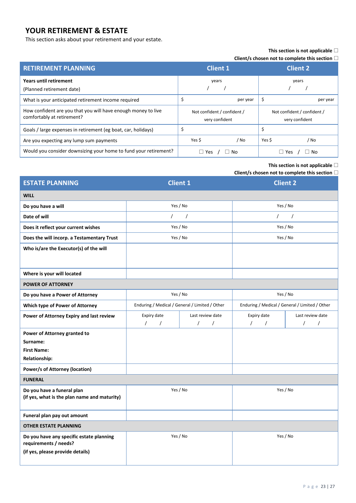## **YOUR RETIREMENT & ESTATE**

This section asks about your retirement and your estate.

### **This section is not applicable**

**Client/s chosen not to complete this section**

| <b>RETIREMENT PLANNING</b>                                                                  | <b>Client 1</b>                               | <b>Client 2</b>                               |  |  |
|---------------------------------------------------------------------------------------------|-----------------------------------------------|-----------------------------------------------|--|--|
| Years until retirement<br>(Planned retirement date)                                         | years                                         | years                                         |  |  |
| What is your anticipated retirement income required                                         | per year                                      | S<br>per year                                 |  |  |
| How confident are you that you will have enough money to live<br>comfortably at retirement? | Not confident / confident /<br>very confident | Not confident / confident /<br>very confident |  |  |
| Goals / large expenses in retirement (eg boat, car, holidays)                               | \$                                            |                                               |  |  |
| Are you expecting any lump sum payments                                                     | Yes \$<br>/ No                                | Yes \$<br>/ No                                |  |  |
| Would you consider downsizing your home to fund your retirement?                            | Yes<br>∣No<br>ш                               | No<br>Yes                                     |  |  |

#### **This section is not applicable**

| <b>ESTATE PLANNING</b>                                                     | <b>Client 1</b>                                |                        | <b>Client 2</b>                                |                      |  |  |
|----------------------------------------------------------------------------|------------------------------------------------|------------------------|------------------------------------------------|----------------------|--|--|
| <b>WILL</b>                                                                |                                                |                        |                                                |                      |  |  |
| Do you have a will                                                         | Yes / No                                       |                        | Yes / No                                       |                      |  |  |
| Date of will                                                               | $\prime$                                       | $\prime$               | $\prime$                                       | $\prime$             |  |  |
| Does it reflect your current wishes                                        | Yes / No                                       |                        | Yes / No                                       |                      |  |  |
| Does the will incorp. a Testamentary Trust                                 | Yes / No                                       |                        | Yes / No                                       |                      |  |  |
| Who is/are the Executor(s) of the will                                     |                                                |                        |                                                |                      |  |  |
|                                                                            |                                                |                        |                                                |                      |  |  |
| Where is your will located                                                 |                                                |                        |                                                |                      |  |  |
| <b>POWER OF ATTORNEY</b>                                                   |                                                |                        |                                                |                      |  |  |
| Do you have a Power of Attorney                                            | Yes / No                                       |                        | Yes / No                                       |                      |  |  |
| Which type of Power of Attorney                                            | Enduring / Medical / General / Limited / Other |                        | Enduring / Medical / General / Limited / Other |                      |  |  |
| Power of Attorney Expiry and last review                                   | Expiry date                                    | Last review date       | Expiry date                                    | Last review date     |  |  |
|                                                                            | $\prime$<br>$\sqrt{2}$                         | $\sqrt{2}$<br>$\prime$ | $\prime$<br>$\prime$                           | $\prime$<br>$\prime$ |  |  |
| Power of Attorney granted to                                               |                                                |                        |                                                |                      |  |  |
| Surname:                                                                   |                                                |                        |                                                |                      |  |  |
| <b>First Name:</b>                                                         |                                                |                        |                                                |                      |  |  |
| <b>Relationship:</b>                                                       |                                                |                        |                                                |                      |  |  |
| <b>Power/s of Attorney (location)</b>                                      |                                                |                        |                                                |                      |  |  |
| <b>FUNERAL</b>                                                             |                                                |                        |                                                |                      |  |  |
| Do you have a funeral plan<br>(if yes, what is the plan name and maturity) | Yes / No                                       |                        | Yes / No                                       |                      |  |  |
|                                                                            |                                                |                        |                                                |                      |  |  |
| Funeral plan pay out amount                                                |                                                |                        |                                                |                      |  |  |
| <b>OTHER ESTATE PLANNING</b>                                               |                                                |                        |                                                |                      |  |  |
| Do you have any specific estate planning<br>requirements / needs?          | Yes / No                                       |                        | Yes / No                                       |                      |  |  |
| (if yes, please provide details)                                           |                                                |                        |                                                |                      |  |  |
|                                                                            |                                                |                        |                                                |                      |  |  |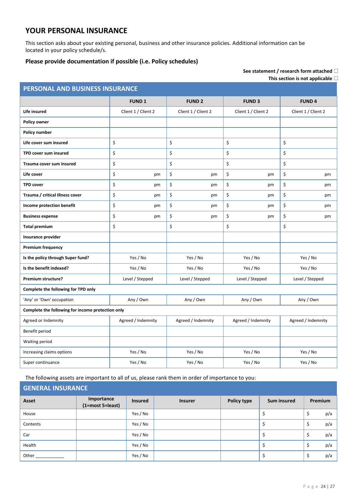## **YOUR PERSONAL INSURANCE**

This section asks about your existing personal, business and other insurance policies. Additional information can be located in your policy schedule/s.

## **Please provide documentation if possible (i.e. Policy schedules)**

| See statement / research form attached $\square$ |  |
|--------------------------------------------------|--|
| This section is not applicable $\Box$            |  |

|                                                   |                     |                        |                     | This section is not applicable $\sqcup$ |  |
|---------------------------------------------------|---------------------|------------------------|---------------------|-----------------------------------------|--|
| PERSONAL AND BUSINESS INSURANCE                   |                     |                        |                     |                                         |  |
|                                                   | <b>FUND 1</b>       | <b>FUND 2</b>          | <b>FUND 3</b>       | <b>FUND4</b>                            |  |
| Life insured                                      | Client 1 / Client 2 | Client 1 / Client 2    | Client 1 / Client 2 | Client 1 / Client 2                     |  |
| <b>Policy owner</b>                               |                     |                        |                     |                                         |  |
| Policy number                                     |                     |                        |                     |                                         |  |
| Life cover sum insured                            | \$                  | \$                     | \$                  | \$                                      |  |
| TPD cover sum insured                             | \$                  | \$                     | \$                  | \$                                      |  |
| Trauma cover sum insured                          | \$                  | \$                     | \$                  | \$                                      |  |
| Life cover                                        | \$<br>pm            | \$<br>pm               | \$<br>pm            | \$<br>pm                                |  |
| <b>TPD cover</b>                                  | \$<br>pm            | \$<br>pm               | \$<br>pm            | \$<br>pm                                |  |
| Trauma / critical Illness cover                   | \$<br>pm            | \$<br>pm               | \$<br>pm            | \$<br>pm                                |  |
| Income protection benefit                         | \$<br>pm            | \$<br>pm               | \$<br>pm            | \$<br>pm                                |  |
| <b>Business expense</b>                           | \$<br>pm            | \$<br>pm               | \$<br>pm            | \$<br>pm                                |  |
| <b>Total premium</b>                              | \$                  | \$                     | \$                  | \$                                      |  |
| Insurance provider                                |                     |                        |                     |                                         |  |
| <b>Premium frequency</b>                          |                     |                        |                     |                                         |  |
| Is the policy through Super fund?                 | Yes / No            | Yes / No               | Yes / No            | Yes / No                                |  |
| Is the benefit indexed?                           | Yes / No            | Yes / No<br>Yes / No   |                     | Yes / No                                |  |
| Premium structure?                                | Level / Stepped     | Level / Stepped        | Level / Stepped     | Level / Stepped                         |  |
| Complete the following for TPD only               |                     |                        |                     |                                         |  |
| 'Any' or 'Own' occupation                         | Any / Own           | Any / Own<br>Any / Own |                     | Any / Own                               |  |
| Complete the following for income protection only |                     |                        |                     |                                         |  |
| Agreed or Indemnity                               | Agreed / Indemnity  | Agreed / Indemnity     | Agreed / Indemnity  | Agreed / Indemnity                      |  |
| Benefit period                                    |                     |                        |                     |                                         |  |
| Waiting period                                    |                     |                        |                     |                                         |  |
| Increasing claims options                         | Yes / No            | Yes / No               | Yes / No            | Yes / No                                |  |
| Super continuance                                 | Yes / No            | Yes / No               | Yes / No            | Yes / No                                |  |

The following assets are important to all of us, please rank them in order of importance to you:

| <b>GENERAL INSURANCE</b> |                                |                |                |             |                    |                |     |
|--------------------------|--------------------------------|----------------|----------------|-------------|--------------------|----------------|-----|
| Asset                    | Importance<br>(1=most 5=least) | <b>Insured</b> | <b>Insurer</b> | Policy type | <b>Sum insured</b> | <b>Premium</b> |     |
| House                    |                                | Yes / No       |                |             |                    | \$             | p/a |
| Contents                 |                                | Yes / No       |                |             |                    | \$             | p/a |
| Car                      |                                | Yes / No       |                |             |                    | \$             | p/a |
| Health                   |                                | Yes / No       |                |             | \$                 | \$             | p/a |
| Other                    |                                | Yes / No       |                |             |                    | \$             | p/a |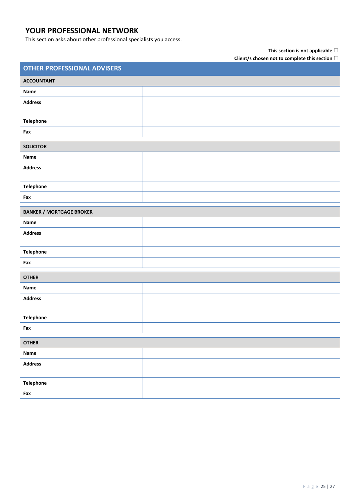## **YOUR PROFESSIONAL NETWORK**

This section asks about other professional specialists you access.

### **This section is not applicable**

| <b>OTHER PROFESSIONAL ADVISERS</b> |  |  |  |
|------------------------------------|--|--|--|
| <b>ACCOUNTANT</b>                  |  |  |  |
| Name                               |  |  |  |
| <b>Address</b>                     |  |  |  |
| Telephone                          |  |  |  |
| Fax                                |  |  |  |
| <b>SOLICITOR</b>                   |  |  |  |
| Name                               |  |  |  |
| <b>Address</b>                     |  |  |  |
| Telephone                          |  |  |  |
| Fax                                |  |  |  |
| <b>BANKER / MORTGAGE BROKER</b>    |  |  |  |
| Name                               |  |  |  |
| <b>Address</b>                     |  |  |  |
| Telephone                          |  |  |  |
| Fax                                |  |  |  |
| <b>OTHER</b>                       |  |  |  |
| Name                               |  |  |  |
| <b>Address</b>                     |  |  |  |
| Telephone                          |  |  |  |
| Fax                                |  |  |  |
| <b>OTHER</b>                       |  |  |  |
| Name                               |  |  |  |
| <b>Address</b>                     |  |  |  |
| Telephone                          |  |  |  |
| Fax                                |  |  |  |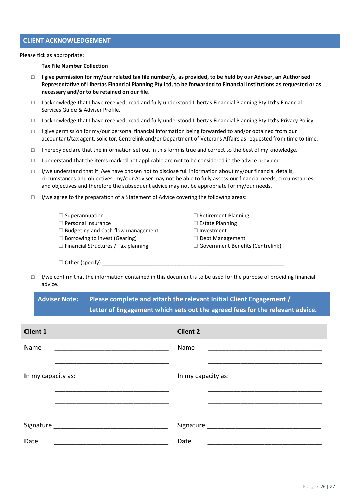### **CLIENT ACKNOWLEDGEMENT**

Please tick as appropriate:

**Tax File Number Collection**

- **I give permission for my/our related tax file number/s, as provided, to be held by our Adviser, an Authorised Representative of Libertas Financial Planning Pty Ltd, to be forwarded to Financial Institutions as requested or as necessary and/or to be retained on our file.**
- I acknowledge that I have received, read and fully understood Libertas Financial Planning Pty Ltd's Financial Services Guide & Adviser Profile.
- □ I acknowledge that I have received, read and fully understood Libertas Financial Planning Pty Ltd's Privacy Policy.
- $\Box$  I give permission for my/our personal financial information being forwarded to and/or obtained from our accountant/tax agent, solicitor, Centrelink and/or Department of Veterans Affairs as requested from time to time.
- $\Box$  I hereby declare that the information set out in this form is true and correct to the best of my knowledge.
- $\Box$  I understand that the items marked not applicable are not to be considered in the advice provided.
- $\Box$  I/we understand that if I/we have chosen not to disclose full information about my/our financial details, circumstances and objectives, my/our Adviser may not be able to fully assess our financial needs, circumstances and objectives and therefore the subsequent advice may not be appropriate for my/our needs.
- $\Box$  I/we agree to the preparation of a Statement of Advice covering the following areas:

| $\Box$ Superannuation                      | $\Box$ Retirement Planning              |
|--------------------------------------------|-----------------------------------------|
| $\Box$ Personal Insurance                  | $\Box$ Estate Planning                  |
| $\Box$ Budgeting and Cash flow management  | $\Box$ Investment                       |
| $\Box$ Borrowing to invest (Gearing)       | $\Box$ Debt Management                  |
| $\Box$ Financial Structures / Tax planning | $\Box$ Government Benefits (Centrelink) |
|                                            |                                         |
| $\Box$ Other (specify)                     |                                         |

 $\Box$  I/we confirm that the information contained in this document is to be used for the purpose of providing financial advice.

**Adviser Note: Please complete and attach the relevant Initial Client Engagement / Letter of Engagement which sets out the agreed fees for the relevant advice.** 

| <b>Client 1</b>    | <b>Client 2</b>    |
|--------------------|--------------------|
| Name               | Name               |
| In my capacity as: | In my capacity as: |
| Signature          | Signature _______  |
| Date               | Date               |